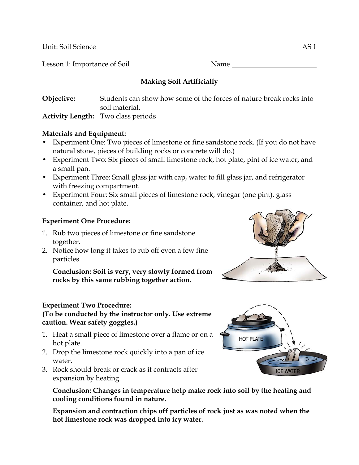Unit: Soil Science AS 1

Lesson 1: Importance of Soil Name

# **Making Soil Artificially**

**Objective:** Students can show how some of the forces of nature break rocks into soil material. **Activity Length:** Two class periods

#### **Materials and Equipment:**

- Experiment One: Two pieces of limestone or fine sandstone rock. (If you do not have natural stone, pieces of building rocks or concrete will do.)
- Experiment Two: Six pieces of small limestone rock, hot plate, pint of ice water, and a small pan.
- Experiment Three: Small glass jar with cap, water to fill glass jar, and refrigerator with freezing compartment.
- Experiment Four: Six small pieces of limestone rock, vinegar (one pint), glass container, and hot plate.

## **Experiment One Procedure:**

- 1. Rub two pieces of limestone or fine sandstone together.
- 2. Notice how long it takes to rub off even a few fine particles.

 **Conclusion: Soil is very, very slowly formed from rocks by this same rubbing together action.** 

## **Experiment Two Procedure:**

## **(To be conducted by the instructor only. Use extreme caution. Wear safety goggles.)**

- 1. Heat a small piece of limestone over a flame or on a hot plate.
- 2. Drop the limestone rock quickly into a pan of ice water.
- 3. Rock should break or crack as it contracts after expansion by heating.

 **Conclusion: Changes in temperature help make rock into soil by the heating and cooling conditions found in nature.** 

 **Expansion and contraction chips off particles of rock just as was noted when the hot limestone rock was dropped into icy water.** 



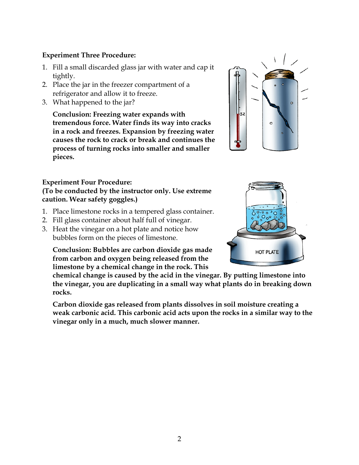#### **Experiment Three Procedure:**

- 1. Fill a small discarded glass jar with water and cap it tightly.
- 2. Place the jar in the freezer compartment of a refrigerator and allow it to freeze.
- 3. What happened to the jar?

**Conclusion: Freezing water expands with tremendous force. Water finds its way into cracks in a rock and freezes. Expansion by freezing water causes the rock to crack or break and continues the process of turning rocks into smaller and smaller pieces.** 

## **Experiment Four Procedure:**

#### **(To be conducted by the instructor only. Use extreme caution. Wear safety goggles.)**

- 1. Place limestone rocks in a tempered glass container.
- 2. Fill glass container about half full of vinegar.
- 3. Heat the vinegar on a hot plate and notice how bubbles form on the pieces of limestone.

**Conclusion: Bubbles are carbon dioxide gas made from carbon and oxygen being released from the limestone by a chemical change in the rock. This** 

**chemical change is caused by the acid in the vinegar. By putting limestone into the vinegar, you are duplicating in a small way what plants do in breaking down rocks.** 

 **Carbon dioxide gas released from plants dissolves in soil moisture creating a weak carbonic acid. This carbonic acid acts upon the rocks in a similar way to the vinegar only in a much, much slower manner.**